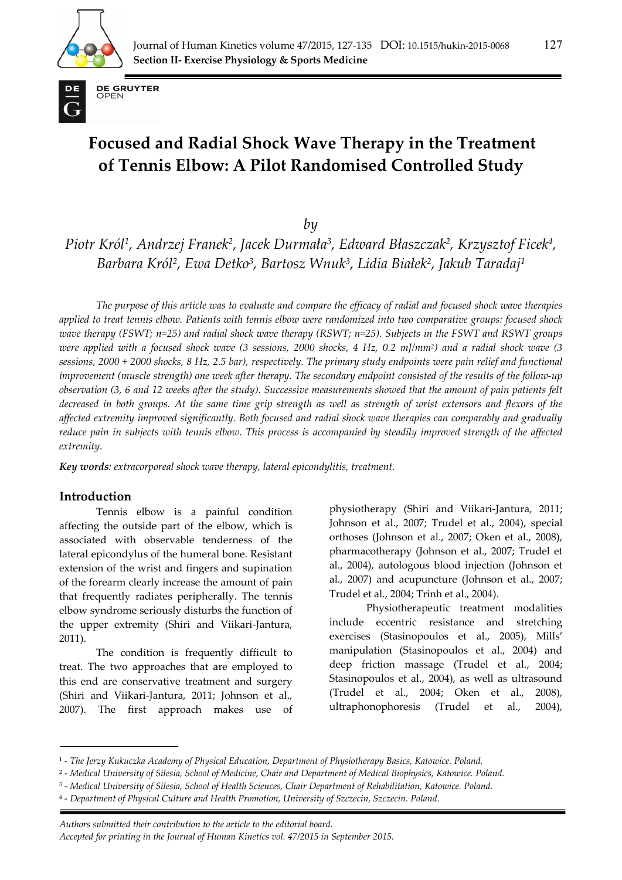



**DE GRUYTER** OPEN

# **Focused and Radial Shock Wave Therapy in the Treatment of Tennis Elbow: A Pilot Randomised Controlled Study**

*by* 

*Piotr Król1, Andrzej Franek2, Jacek Durmała3, Edward Błaszczak2, Krzysztof Ficek4, Barbara Król2, Ewa Detko3, Bartosz Wnuk3, Lidia Białek2, Jakub Taradaj1*

*The purpose of this article was to evaluate and compare the efficacy of radial and focused shock wave therapies applied to treat tennis elbow. Patients with tennis elbow were randomized into two comparative groups: focused shock wave therapy (FSWT; n=25) and radial shock wave therapy (RSWT; n=25). Subjects in the FSWT and RSWT groups were applied with a focused shock wave (3 sessions, 2000 shocks, 4 Hz, 0.2 mJ/mm2) and a radial shock wave (3 sessions, 2000 + 2000 shocks, 8 Hz, 2.5 bar), respectively. The primary study endpoints were pain relief and functional improvement (muscle strength) one week after therapy. The secondary endpoint consisted of the results of the follow-up observation (3, 6 and 12 weeks after the study). Successive measurements showed that the amount of pain patients felt decreased in both groups. At the same time grip strength as well as strength of wrist extensors and flexors of the affected extremity improved significantly. Both focused and radial shock wave therapies can comparably and gradually reduce pain in subjects with tennis elbow. This process is accompanied by steadily improved strength of the affected extremity.* 

*Key words: extracorporeal shock wave therapy, lateral epicondylitis, treatment.* 

## **Introduction**

Tennis elbow is a painful condition affecting the outside part of the elbow, which is associated with observable tenderness of the lateral epicondylus of the humeral bone. Resistant extension of the wrist and fingers and supination of the forearm clearly increase the amount of pain that frequently radiates peripherally. The tennis elbow syndrome seriously disturbs the function of the upper extremity (Shiri and Viikari-Jantura, 2011).

The condition is frequently difficult to treat. The two approaches that are employed to this end are conservative treatment and surgery (Shiri and Viikari-Jantura, 2011; Johnson et al., 2007). The first approach makes use of

physiotherapy (Shiri and Viikari-Jantura, 2011; Johnson et al., 2007; Trudel et al., 2004), special orthoses (Johnson et al., 2007; Oken et al., 2008), pharmacotherapy (Johnson et al., 2007; Trudel et al., 2004), autologous blood injection (Johnson et al., 2007) and acupuncture (Johnson et al., 2007; Trudel et al., 2004; Trinh et al., 2004).

Physiotherapeutic treatment modalities include eccentric resistance and stretching exercises (Stasinopoulos et al., 2005), Mills' manipulation (Stasinopoulos et al., 2004) and deep friction massage (Trudel et al., 2004; Stasinopoulos et al., 2004), as well as ultrasound (Trudel et al., 2004; Oken et al., 2008), ultraphonophoresis (Trudel et al., 2004),

*. Authors submitted their contribution to the article to the editorial board.* 

*Accepted for printing in the Journal of Human Kinetics vol. 47/2015 in September 2015.* 

<sup>1 -</sup> *The Jerzy Kukuczka Academy of Physical Education, Department of Physiotherapy Basics, Katowice. Poland.* 

<sup>2 -</sup> *Medical University of Silesia, School of Medicine, Chair and Department of Medical Biophysics, Katowice. Poland.* 

<sup>3 -</sup> *Medical University of Silesia, School of Health Sciences, Chair Department of Rehabilitation, Katowice. Poland.* 

<sup>4 -</sup> *Department of Physical Culture and Health Promotion, University of Szczecin, Szczecin. Poland.*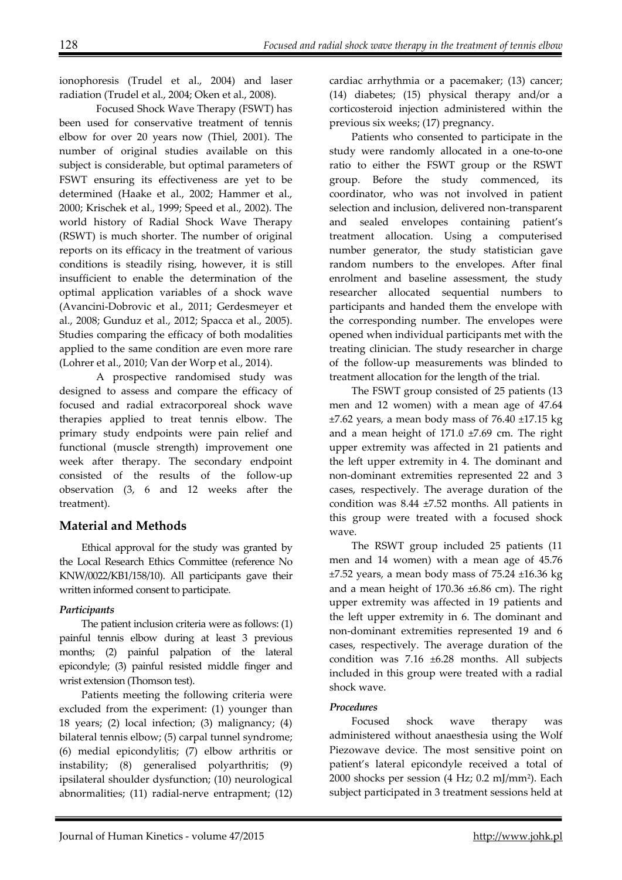ionophoresis (Trudel et al., 2004) and laser radiation (Trudel et al., 2004; Oken et al., 2008).

Focused Shock Wave Therapy (FSWT) has been used for conservative treatment of tennis elbow for over 20 years now (Thiel, 2001). The number of original studies available on this subject is considerable, but optimal parameters of FSWT ensuring its effectiveness are yet to be determined (Haake et al., 2002; Hammer et al., 2000; Krischek et al., 1999; Speed et al., 2002). The world history of Radial Shock Wave Therapy (RSWT) is much shorter. The number of original reports on its efficacy in the treatment of various conditions is steadily rising, however, it is still insufficient to enable the determination of the optimal application variables of a shock wave (Avancini-Dobrovic et al., 2011; Gerdesmeyer et al., 2008; Gunduz et al., 2012; Spacca et al., 2005). Studies comparing the efficacy of both modalities applied to the same condition are even more rare (Lohrer et al., 2010; Van der Worp et al., 2014).

A prospective randomised study was designed to assess and compare the efficacy of focused and radial extracorporeal shock wave therapies applied to treat tennis elbow. The primary study endpoints were pain relief and functional (muscle strength) improvement one week after therapy. The secondary endpoint consisted of the results of the follow-up observation (3, 6 and 12 weeks after the treatment).

## **Material and Methods**

Ethical approval for the study was granted by the Local Research Ethics Committee (reference No KNW/0022/KB1/158/10). All participants gave their written informed consent to participate.

## *Participants*

The patient inclusion criteria were as follows: (1) painful tennis elbow during at least 3 previous months; (2) painful palpation of the lateral epicondyle; (3) painful resisted middle finger and wrist extension (Thomson test).

Patients meeting the following criteria were excluded from the experiment: (1) younger than 18 years; (2) local infection; (3) malignancy; (4) bilateral tennis elbow; (5) carpal tunnel syndrome; (6) medial epicondylitis; (7) elbow arthritis or instability; (8) generalised polyarthritis; (9) ipsilateral shoulder dysfunction; (10) neurological abnormalities; (11) radial-nerve entrapment; (12) cardiac arrhythmia or a pacemaker; (13) cancer; (14) diabetes; (15) physical therapy and/or a corticosteroid injection administered within the previous six weeks; (17) pregnancy.

Patients who consented to participate in the study were randomly allocated in a one-to-one ratio to either the FSWT group or the RSWT group. Before the study commenced, its coordinator, who was not involved in patient selection and inclusion, delivered non-transparent and sealed envelopes containing patient's treatment allocation. Using a computerised number generator, the study statistician gave random numbers to the envelopes. After final enrolment and baseline assessment, the study researcher allocated sequential numbers to participants and handed them the envelope with the corresponding number. The envelopes were opened when individual participants met with the treating clinician. The study researcher in charge of the follow-up measurements was blinded to treatment allocation for the length of the trial.

The FSWT group consisted of 25 patients (13 men and 12 women) with a mean age of 47.64  $\pm$ 7.62 years, a mean body mass of 76.40  $\pm$ 17.15 kg and a mean height of  $171.0 \pm 7.69$  cm. The right upper extremity was affected in 21 patients and the left upper extremity in 4. The dominant and non-dominant extremities represented 22 and 3 cases, respectively. The average duration of the condition was 8.44 ±7.52 months. All patients in this group were treated with a focused shock wave.

The RSWT group included 25 patients (11 men and 14 women) with a mean age of 45.76  $\pm$ 7.52 years, a mean body mass of 75.24  $\pm$ 16.36 kg and a mean height of 170.36 ±6.86 cm). The right upper extremity was affected in 19 patients and the left upper extremity in 6. The dominant and non-dominant extremities represented 19 and 6 cases, respectively. The average duration of the condition was 7.16 ±6.28 months. All subjects included in this group were treated with a radial shock wave.

## *Procedures*

Focused shock wave therapy was administered without anaesthesia using the Wolf Piezowave device. The most sensitive point on patient's lateral epicondyle received a total of 2000 shocks per session (4 Hz; 0.2 mJ/mm2). Each subject participated in 3 treatment sessions held at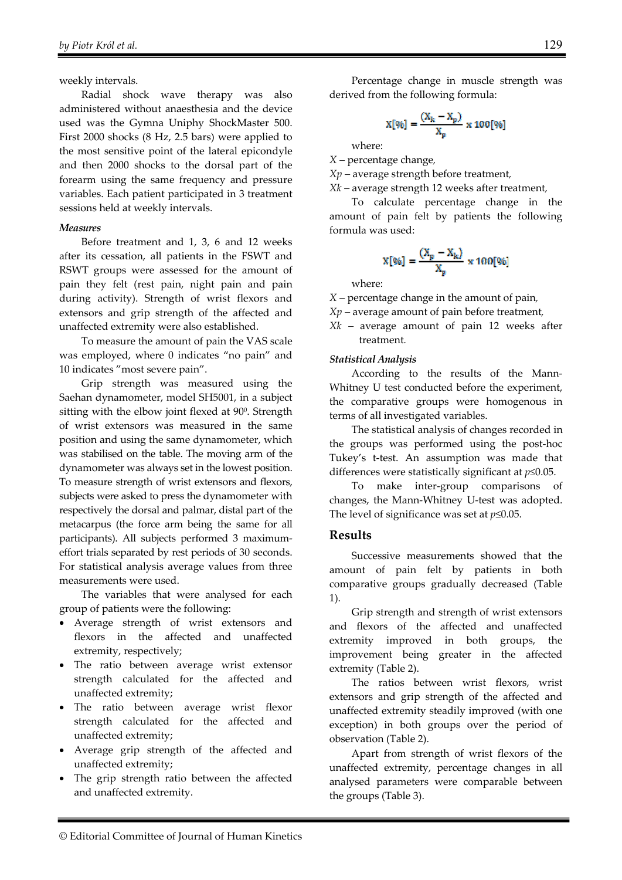weekly intervals.

Radial shock wave therapy was also administered without anaesthesia and the device used was the Gymna Uniphy ShockMaster 500. First 2000 shocks (8 Hz, 2.5 bars) were applied to the most sensitive point of the lateral epicondyle and then 2000 shocks to the dorsal part of the forearm using the same frequency and pressure variables. Each patient participated in 3 treatment sessions held at weekly intervals.

#### *Measures*

Before treatment and 1, 3, 6 and 12 weeks after its cessation, all patients in the FSWT and RSWT groups were assessed for the amount of pain they felt (rest pain, night pain and pain during activity). Strength of wrist flexors and extensors and grip strength of the affected and unaffected extremity were also established.

To measure the amount of pain the VAS scale was employed, where 0 indicates "no pain" and 10 indicates "most severe pain".

Grip strength was measured using the Saehan dynamometer, model SH5001, in a subject sitting with the elbow joint flexed at 90°. Strength of wrist extensors was measured in the same position and using the same dynamometer, which was stabilised on the table. The moving arm of the dynamometer was always set in the lowest position. To measure strength of wrist extensors and flexors, subjects were asked to press the dynamometer with respectively the dorsal and palmar, distal part of the metacarpus (the force arm being the same for all participants). All subjects performed 3 maximumeffort trials separated by rest periods of 30 seconds. For statistical analysis average values from three measurements were used.

The variables that were analysed for each group of patients were the following:

- Average strength of wrist extensors and flexors in the affected and unaffected extremity, respectively;
- The ratio between average wrist extensor strength calculated for the affected and unaffected extremity;
- The ratio between average wrist flexor strength calculated for the affected and unaffected extremity;
- Average grip strength of the affected and unaffected extremity;
- The grip strength ratio between the affected and unaffected extremity.

Percentage change in muscle strength was derived from the following formula:

$$
X[\%] = \frac{(X_k - X_p)}{X_p} \times 100[\%]
$$

where:

*X –* percentage change*,* 

*Xp –* average strength before treatment*,* 

*Xk –* average strength 12 weeks after treatment*,* 

To calculate percentage change in the amount of pain felt by patients the following formula was used:

$$
X[\%] = \frac{(X_p - X_k)}{X_p} \times 100[\%]
$$

where:

*X –* percentage change in the amount of pain*,* 

*Xp –* average amount of pain before treatment*,* 

*Xk –* average amount of pain 12 weeks after treatment*.* 

#### *Statistical Analysis*

According to the results of the Mann-Whitney U test conducted before the experiment, the comparative groups were homogenous in terms of all investigated variables.

The statistical analysis of changes recorded in the groups was performed using the post-hoc Tukey's t-test. An assumption was made that differences were statistically significant at *p*≤0.05.

To make inter-group comparisons of changes, the Mann-Whitney U-test was adopted. The level of significance was set at *p*≤0.05.

#### **Results**

Successive measurements showed that the amount of pain felt by patients in both comparative groups gradually decreased (Table 1).

Grip strength and strength of wrist extensors and flexors of the affected and unaffected extremity improved in both groups, the improvement being greater in the affected extremity (Table 2).

The ratios between wrist flexors, wrist extensors and grip strength of the affected and unaffected extremity steadily improved (with one exception) in both groups over the period of observation (Table 2).

Apart from strength of wrist flexors of the unaffected extremity, percentage changes in all analysed parameters were comparable between the groups (Table 3).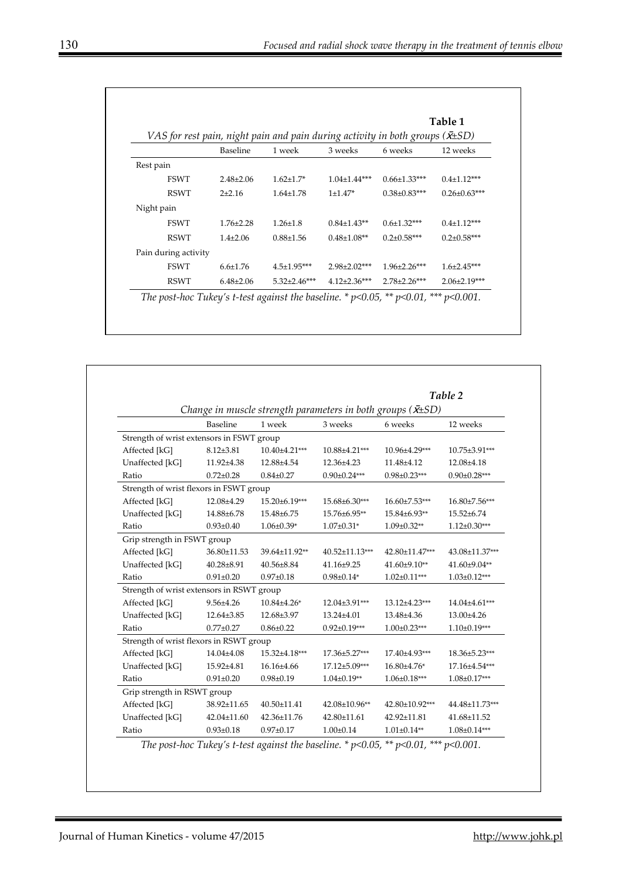|                      |                 |                     | Table 1<br>VAS for rest pain, night pain and pain during activity in both groups ( $\bar{x}$ ±SD) |                     |                     |  |
|----------------------|-----------------|---------------------|---------------------------------------------------------------------------------------------------|---------------------|---------------------|--|
|                      | Baseline        | 1 week              | 3 weeks                                                                                           | 6 weeks             | 12 weeks            |  |
| Rest pain            |                 |                     |                                                                                                   |                     |                     |  |
| <b>FSWT</b>          | $2.48 \pm 2.06$ | $1.62 \pm 1.7*$     | $1.04\pm1.44***$                                                                                  | $0.66 \pm 1.33$ *** | $0.4 \pm 1.12***$   |  |
| <b>RSWT</b>          | $2+2.16$        | $1.64 \pm 1.78$     | $1\pm1.47*$                                                                                       | $0.38 \pm 0.83$ *** | $0.26 \pm 0.63$ *** |  |
| Night pain           |                 |                     |                                                                                                   |                     |                     |  |
| <b>FSWT</b>          | $1.76 \pm 2.28$ | $1.26 \pm 1.8$      | $0.84 \pm 1.43**$                                                                                 | $0.6 \pm 1.32$ ***  | $0.4 \pm 1.12***$   |  |
| <b>RSWT</b>          | $1.4\pm2.06$    | $0.88 \pm 1.56$     | $0.48 \pm 1.08**$                                                                                 | $0.2 \pm 0.58$ ***  | $0.2 \pm 0.58***$   |  |
| Pain during activity |                 |                     |                                                                                                   |                     |                     |  |
| <b>FSWT</b>          | $6.6 \pm 1.76$  | $4.5 \pm 1.95***$   | $2.98 \pm 2.02$ ***                                                                               | $1.96 \pm 2.26$ *** | $1.6 \pm 2.45***$   |  |
| RSWT                 | $6.48\pm2.06$   | $5.32 \pm 2.46$ *** | $4.12\pm2.36***$                                                                                  | $2.78 \pm 2.26$ *** | $2.06 \pm 2.19$ *** |  |

|                                                                      |                 | Table 2           |                     |                    |                    |  |  |
|----------------------------------------------------------------------|-----------------|-------------------|---------------------|--------------------|--------------------|--|--|
| Change in muscle strength parameters in both groups ( $\bar{x}$ ±SD) |                 |                   |                     |                    |                    |  |  |
|                                                                      | Baseline        | 1 week            | 3 weeks             | 6 weeks            | 12 weeks           |  |  |
| Strength of wrist extensors in FSWT group                            |                 |                   |                     |                    |                    |  |  |
| Affected [kG]                                                        | $8.12{\pm}3.81$ | $10.40\pm4.21***$ | 10.88±4.21***       | 10.96±4.29***      | 10.75±3.91***      |  |  |
| Unaffected [kG]                                                      | 11.92±4.38      | 12.88±4.54        | 12.36±4.23          | 11.48±4.12         | 12.08±4.18         |  |  |
| Ratio                                                                | $0.72 \pm 0.28$ | $0.84 \pm 0.27$   | $0.90 \pm 0.24***$  | $0.98 \pm 0.23***$ | $0.90 \pm 0.28***$ |  |  |
| Strength of wrist flexors in FSWT group                              |                 |                   |                     |                    |                    |  |  |
| Affected [kG]                                                        | 12.08±4.29      | 15.20±6.19***     | 15.68±6.30***       | 16.60±7.53***      | $16.80\pm7.56***$  |  |  |
| Unaffected [kG]                                                      | 14.88±6.78      | 15.48±6.75        | 15.76±6.95**        | 15.84±6.93**       | 15.52±6.74         |  |  |
| Ratio                                                                | $0.93 \pm 0.40$ | $1.06 \pm 0.39*$  | $1.07 \pm 0.31*$    | $1.09 \pm 0.32**$  | $1.12 \pm 0.30***$ |  |  |
| Grip strength in FSWT group                                          |                 |                   |                     |                    |                    |  |  |
| Affected [kG]                                                        | 36.80±11.53     | 39.64±11.92**     | 40.52±11.13***      | 42.80±11.47***     | 43.08±11.37***     |  |  |
| Unaffected [kG]                                                      | $40.28 + 8.91$  | $40.56 \pm 8.84$  | 41.16±9.25          | $41.60\pm9.10**$   | 41.60±9.04**       |  |  |
| Ratio                                                                | $0.91 \pm 0.20$ | $0.97 \pm 0.18$   | $0.98 \pm 0.14*$    | $1.02 \pm 0.11***$ | $1.03 \pm 0.12***$ |  |  |
| Strength of wrist extensors in RSWT group                            |                 |                   |                     |                    |                    |  |  |
| Affected [kG]                                                        | $9.56 \pm 4.26$ | $10.84{\pm}4.26*$ | 12.04±3.91***       | 13.12±4.23***      | 14.04±4.61***      |  |  |
| Unaffected [kG]                                                      | 12.64±3.85      | 12.68±3.97        | 13.24±4.01          | 13.48±4.36         | 13.00±4.26         |  |  |
| Ratio                                                                | $0.77 \pm 0.27$ | $0.86 \pm 0.22$   | $0.92 \pm 0.19***$  | $1.00 \pm 0.23***$ | $1.10\pm0.19***$   |  |  |
| Strength of wrist flexors in RSWT group                              |                 |                   |                     |                    |                    |  |  |
| Affected [kG]                                                        | 14.04±4.08      | 15.32±4.18***     | 17.36±5.27***       | 17.40±4.93***      | 18.36±5.23***      |  |  |
| Unaffected [kG]                                                      | 15.92±4.81      | $16.16 \pm 4.66$  | $17.12 \pm 5.09***$ | $16.80{\pm}4.76*$  | 17.16±4.54***      |  |  |
| Ratio                                                                | $0.91 \pm 0.20$ | $0.98 \pm 0.19$   | $1.04 \pm 0.19**$   | $1.06 \pm 0.18***$ | $1.08 \pm 0.17***$ |  |  |
| Grip strength in RSWT group                                          |                 |                   |                     |                    |                    |  |  |
| Affected [kG]                                                        | 38.92±11.65     | $40.50 \pm 11.41$ | 42.08±10.96**       | 42.80±10.92***     | 44.48±11.73***     |  |  |
| Unaffected [kG]                                                      | 42.04±11.60     | 42.36±11.76       | 42.80±11.61         | 42.92±11.81        | 41.68±11.52        |  |  |
| Ratio                                                                | $0.93 \pm 0.18$ | $0.97 + 0.17$     | $1.00 \pm 0.14$     | $1.01 \pm 0.14**$  | $1.08 \pm 0.14***$ |  |  |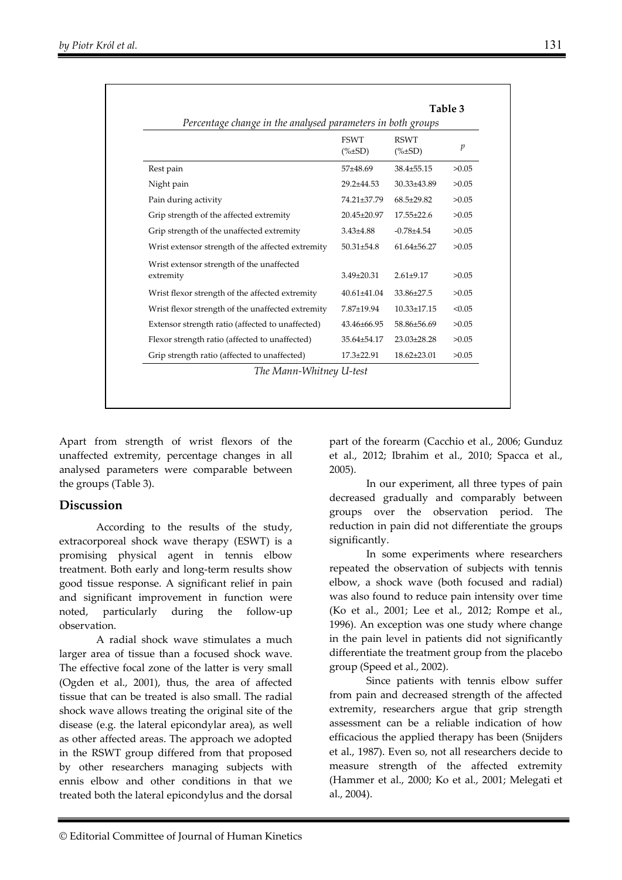| Percentage change in the analysed parameters in both groups |                              |                              |                |  |  |  |
|-------------------------------------------------------------|------------------------------|------------------------------|----------------|--|--|--|
|                                                             | <b>FSWT</b><br>$(\% \pm SD)$ | <b>RSWT</b><br>$(\% \pm SD)$ | $\mathfrak{p}$ |  |  |  |
| Rest pain                                                   | $57+48.69$                   | $38.4 \pm 55.15$             | >0.05          |  |  |  |
| Night pain                                                  | $29.2 \pm 44.53$             | 30.33±43.89                  | >0.05          |  |  |  |
| Pain during activity                                        | 74.21±37.79                  | $68.5 \pm 29.82$             | >0.05          |  |  |  |
| Grip strength of the affected extremity                     | 20.45±20.97                  | $17.55 \pm 22.6$             | >0.05          |  |  |  |
| Grip strength of the unaffected extremity                   | $3.43{\pm}4.88$              | $-0.78{\pm}4.54$             | >0.05          |  |  |  |
| Wrist extensor strength of the affected extremity           | $50.31 \pm 54.8$             | 61.64±56.27                  | >0.05          |  |  |  |
| Wrist extensor strength of the unaffected<br>extremity      | $3.49 \pm 20.31$             | $2.61 \pm 9.17$              | >0.05          |  |  |  |
| Wrist flexor strength of the affected extremity             | 40.61±41.04                  | 33.86±27.5                   | >0.05          |  |  |  |
| Wrist flexor strength of the unaffected extremity           | 7.87±19.94                   | $10.33 \pm 17.15$            | < 0.05         |  |  |  |
| Extensor strength ratio (affected to unaffected)            | 43.46±66.95                  | 58.86±56.69                  | >0.05          |  |  |  |
| Flexor strength ratio (affected to unaffected)              | 35.64±54.17                  | 23.03±28.28                  | >0.05          |  |  |  |
| Grip strength ratio (affected to unaffected)                | $17.3 \pm 22.91$             | $18.62 \pm 23.01$            | >0.05          |  |  |  |
| The Mann-Whitney U-test                                     |                              |                              |                |  |  |  |

Apart from strength of wrist flexors of the unaffected extremity, percentage changes in all analysed parameters were comparable between the groups (Table 3).

## **Discussion**

According to the results of the study, extracorporeal shock wave therapy (ESWT) is a promising physical agent in tennis elbow treatment. Both early and long-term results show good tissue response. A significant relief in pain and significant improvement in function were noted, particularly during the follow-up observation.

A radial shock wave stimulates a much larger area of tissue than a focused shock wave. The effective focal zone of the latter is very small (Ogden et al., 2001), thus, the area of affected tissue that can be treated is also small. The radial shock wave allows treating the original site of the disease (e.g. the lateral epicondylar area), as well as other affected areas. The approach we adopted in the RSWT group differed from that proposed by other researchers managing subjects with ennis elbow and other conditions in that we treated both the lateral epicondylus and the dorsal

part of the forearm (Cacchio et al., 2006; Gunduz et al., 2012; Ibrahim et al., 2010; Spacca et al., 2005).

In our experiment, all three types of pain decreased gradually and comparably between groups over the observation period. The reduction in pain did not differentiate the groups significantly.

In some experiments where researchers repeated the observation of subjects with tennis elbow, a shock wave (both focused and radial) was also found to reduce pain intensity over time (Ko et al., 2001; Lee et al., 2012; Rompe et al., 1996). An exception was one study where change in the pain level in patients did not significantly differentiate the treatment group from the placebo group (Speed et al., 2002).

Since patients with tennis elbow suffer from pain and decreased strength of the affected extremity, researchers argue that grip strength assessment can be a reliable indication of how efficacious the applied therapy has been (Snijders et al., 1987). Even so, not all researchers decide to measure strength of the affected extremity (Hammer et al., 2000; Ko et al., 2001; Melegati et al., 2004).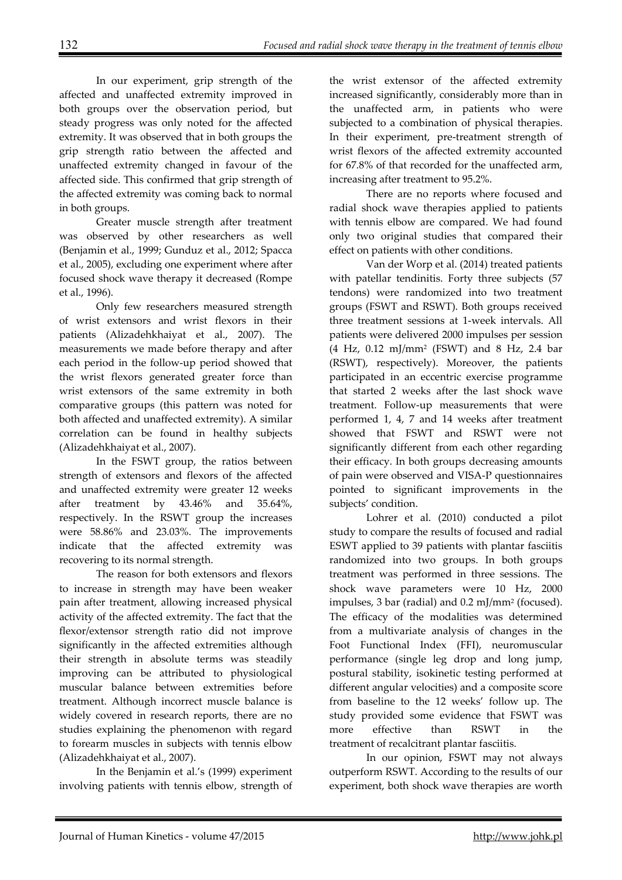In our experiment, grip strength of the affected and unaffected extremity improved in both groups over the observation period, but steady progress was only noted for the affected extremity. It was observed that in both groups the grip strength ratio between the affected and unaffected extremity changed in favour of the affected side. This confirmed that grip strength of the affected extremity was coming back to normal in both groups.

Greater muscle strength after treatment was observed by other researchers as well (Benjamin et al., 1999; Gunduz et al., 2012; Spacca et al., 2005), excluding one experiment where after focused shock wave therapy it decreased (Rompe et al., 1996).

Only few researchers measured strength of wrist extensors and wrist flexors in their patients (Alizadehkhaiyat et al., 2007). The measurements we made before therapy and after each period in the follow-up period showed that the wrist flexors generated greater force than wrist extensors of the same extremity in both comparative groups (this pattern was noted for both affected and unaffected extremity). A similar correlation can be found in healthy subjects (Alizadehkhaiyat et al., 2007).

In the FSWT group, the ratios between strength of extensors and flexors of the affected and unaffected extremity were greater 12 weeks after treatment by 43.46% and 35.64%, respectively. In the RSWT group the increases were 58.86% and 23.03%. The improvements indicate that the affected extremity was recovering to its normal strength.

The reason for both extensors and flexors to increase in strength may have been weaker pain after treatment, allowing increased physical activity of the affected extremity. The fact that the flexor/extensor strength ratio did not improve significantly in the affected extremities although their strength in absolute terms was steadily improving can be attributed to physiological muscular balance between extremities before treatment. Although incorrect muscle balance is widely covered in research reports, there are no studies explaining the phenomenon with regard to forearm muscles in subjects with tennis elbow (Alizadehkhaiyat et al., 2007).

In the Benjamin et al.'s (1999) experiment involving patients with tennis elbow, strength of

the wrist extensor of the affected extremity increased significantly, considerably more than in the unaffected arm, in patients who were subjected to a combination of physical therapies. In their experiment, pre-treatment strength of wrist flexors of the affected extremity accounted for 67.8% of that recorded for the unaffected arm, increasing after treatment to 95.2%.

There are no reports where focused and radial shock wave therapies applied to patients with tennis elbow are compared. We had found only two original studies that compared their effect on patients with other conditions.

Van der Worp et al. (2014) treated patients with patellar tendinitis. Forty three subjects (57 tendons) were randomized into two treatment groups (FSWT and RSWT). Both groups received three treatment sessions at 1-week intervals. All patients were delivered 2000 impulses per session (4 Hz, 0.12 mJ/mm2 (FSWT) and 8 Hz, 2.4 bar (RSWT), respectively). Moreover, the patients participated in an eccentric exercise programme that started 2 weeks after the last shock wave treatment. Follow-up measurements that were performed 1, 4, 7 and 14 weeks after treatment showed that FSWT and RSWT were not significantly different from each other regarding their efficacy. In both groups decreasing amounts of pain were observed and VISA-P questionnaires pointed to significant improvements in the subjects' condition.

Lohrer et al. (2010) conducted a pilot study to compare the results of focused and radial ESWT applied to 39 patients with plantar fasciitis randomized into two groups. In both groups treatment was performed in three sessions. The shock wave parameters were 10 Hz, 2000 impulses, 3 bar (radial) and 0.2 mJ/mm2 (focused). The efficacy of the modalities was determined from a multivariate analysis of changes in the Foot Functional Index (FFI), neuromuscular performance (single leg drop and long jump, postural stability, isokinetic testing performed at different angular velocities) and a composite score from baseline to the 12 weeks' follow up. The study provided some evidence that FSWT was more effective than RSWT in the treatment of recalcitrant plantar fasciitis.

In our opinion, FSWT may not always outperform RSWT. According to the results of our experiment, both shock wave therapies are worth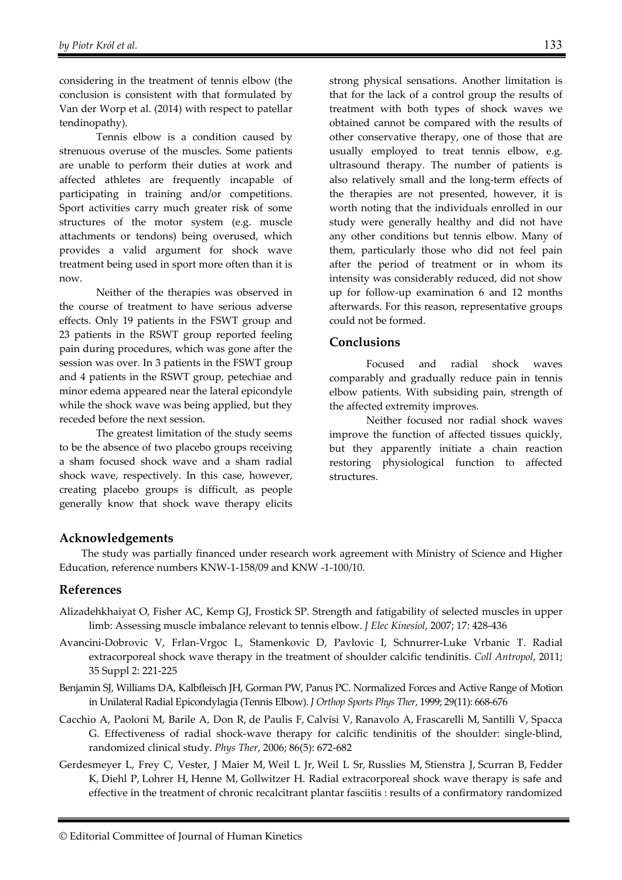considering in the treatment of tennis elbow (the conclusion is consistent with that formulated by Van der Worp et al. (2014) with respect to patellar tendinopathy).

Tennis elbow is a condition caused by strenuous overuse of the muscles. Some patients are unable to perform their duties at work and affected athletes are frequently incapable of participating in training and/or competitions. Sport activities carry much greater risk of some structures of the motor system (e.g. muscle attachments or tendons) being overused, which provides a valid argument for shock wave treatment being used in sport more often than it is now.

Neither of the therapies was observed in the course of treatment to have serious adverse effects. Only 19 patients in the FSWT group and 23 patients in the RSWT group reported feeling pain during procedures, which was gone after the session was over. In 3 patients in the FSWT group and 4 patients in the RSWT group, petechiae and minor edema appeared near the lateral epicondyle while the shock wave was being applied, but they receded before the next session.

The greatest limitation of the study seems to be the absence of two placebo groups receiving a sham focused shock wave and a sham radial shock wave, respectively. In this case, however, creating placebo groups is difficult, as people generally know that shock wave therapy elicits

strong physical sensations. Another limitation is that for the lack of a control group the results of treatment with both types of shock waves we obtained cannot be compared with the results of other conservative therapy, one of those that are usually employed to treat tennis elbow, e.g. ultrasound therapy. The number of patients is also relatively small and the long-term effects of the therapies are not presented, however, it is worth noting that the individuals enrolled in our study were generally healthy and did not have any other conditions but tennis elbow. Many of them, particularly those who did not feel pain after the period of treatment or in whom its intensity was considerably reduced, did not show up for follow-up examination 6 and 12 months afterwards. For this reason, representative groups could not be formed.

#### **Conclusions**

Focused and radial shock waves comparably and gradually reduce pain in tennis elbow patients. With subsiding pain, strength of the affected extremity improves.

Neither focused nor radial shock waves improve the function of affected tissues quickly, but they apparently initiate a chain reaction restoring physiological function to affected structures.

### **Acknowledgements**

The study was partially financed under research work agreement with Ministry of Science and Higher Education, reference numbers KNW-1-158/09 and KNW -1-100/10.

#### **References**

- Alizadehkhaiyat O, Fisher AC, Kemp GJ, Frostick SP. Strength and fatigability of selected muscles in upper limb: Assessing muscle imbalance relevant to tennis elbow. *J Elec Kinesiol*, 2007; 17: 428-436
- Avancini-Dobrovic V, Frlan-Vrgoc L, Stamenkovic D, Pavlovic I, Schnurrer-Luke Vrbanic T. Radial extracorporeal shock wave therapy in the treatment of shoulder calcific tendinitis. *Coll Antropol*, 2011; 35 Suppl 2: 221-225
- Benjamin SJ, Williams DA, Kalbfleisch JH, Gorman PW, Panus PC. Normalized Forces and Active Range of Motion in Unilateral Radial Epicondylagia (Tennis Elbow). *J Orthop Sports Phys Ther*, 1999; 29(11): 668-676
- Cacchio A, Paoloni M, Barile A, Don R, de Paulis F, Calvisi V, Ranavolo A, Frascarelli M, Santilli V, Spacca G. Effectiveness of radial shock-wave therapy for calcific tendinitis of the shoulder: single-blind, randomized clinical study. *Phys Ther*, 2006; 86(5): 672-682
- Gerdesmeyer L, Frey C, Vester, J Maier M, Weil L Jr, Weil L Sr, Russlies M, Stienstra J, Scurran B, Fedder K, Diehl P, Lohrer H, Henne M, Gollwitzer H. Radial extracorporeal shock wave therapy is safe and effective in the treatment of chronic recalcitrant plantar fasciitis : results of a confirmatory randomized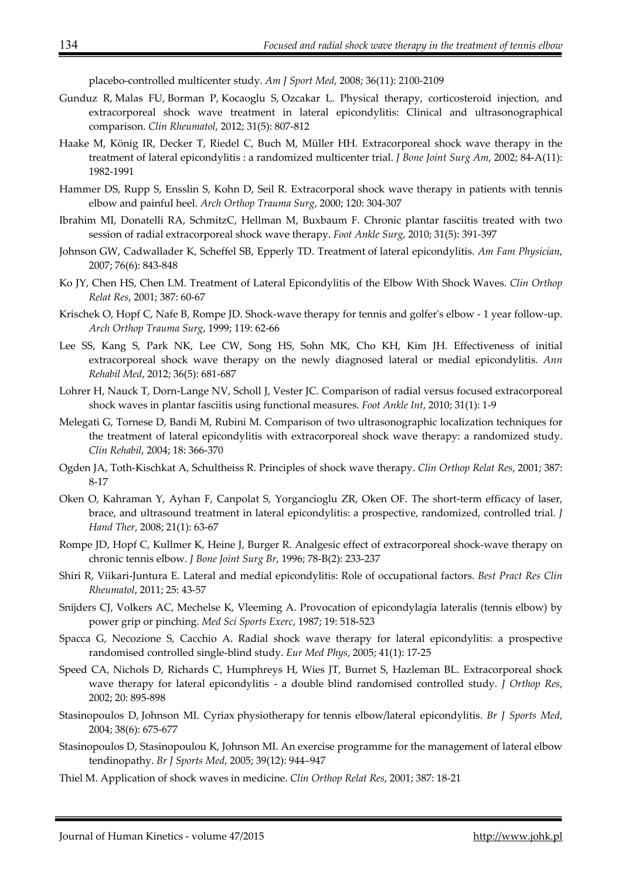placebo-controlled multicenter study. *Am J Sport Med*, 2008; 36(11): 2100-2109

- Gunduz R, Malas FU, Borman P, Kocaoglu S, Ozcakar L. Physical therapy, corticosteroid injection, and extracorporeal shock wave treatment in lateral epicondylitis: Clinical and ultrasonographical comparison. *Clin Rheumatol*, 2012; 31(5): 807-812
- Haake M, König IR, Decker T, Riedel C, Buch M, Müller HH. Extracorporeal shock wave therapy in the treatment of lateral epicondylitis : a randomized multicenter trial. *J Bone Joint Surg Am*, 2002; 84-A(11): 1982-1991
- Hammer DS, Rupp S, Ensslin S, Kohn D, Seil R. Extracorporal shock wave therapy in patients with tennis elbow and painful heel. *Arch Orthop Trauma Surg*, 2000; 120: 304-307
- Ibrahim MI, Donatelli RA, SchmitzC, Hellman M, Buxbaum F. Chronic plantar fasciitis treated with two session of radial extracorporeal shock wave therapy. *Foot Ankle Surg*, 2010; 31(5): 391-397
- Johnson GW, Cadwallader K, Scheffel SB, Epperly TD. Treatment of lateral epicondylitis. *Am Fam Physician*, 2007; 76(6): 843-848
- Ko JY, Chen HS, Chen LM. Treatment of Lateral Epicondylitis of the Elbow With Shock Waves. *Clin Orthop Relat Res*, 2001; 387: 60-67
- Krischek O, Hopf C, Nafe B, Rompe JD. Shock-wave therapy for tennis and golfer's elbow 1 year follow-up. *Arch Orthop Trauma Surg*, 1999; 119: 62-66
- Lee SS, Kang S, Park NK, Lee CW, Song HS, Sohn MK, Cho KH, Kim JH. Effectiveness of initial extracorporeal shock wave therapy on the newly diagnosed lateral or medial epicondylitis. *Ann Rehabil Med*, 2012; 36(5): 681-687
- Lohrer H, Nauck T, Dorn-Lange NV, Scholl J, Vester JC. Comparison of radial versus focused extracorporeal shock waves in plantar fasciitis using functional measures. *Foot Ankle Int*, 2010; 31(1): 1-9
- Melegati G, Tornese D, Bandi M, Rubini M. Comparison of two ultrasonographic localization techniques for the treatment of lateral epicondylitis with extracorporeal shock wave therapy: a randomized study. *Clin Rehabil*, 2004; 18: 366-370
- Ogden JA, Toth-Kischkat A, Schultheiss R. Principles of shock wave therapy. *Clin Orthop Relat Res*, 2001; 387: 8-17
- Oken O, Kahraman Y, Ayhan F, Canpolat S, Yorgancioglu ZR, Oken OF. The short-term efficacy of laser, brace, and ultrasound treatment in lateral epicondylitis: a prospective, randomized, controlled trial. *J Hand Ther*, 2008; 21(1): 63-67
- Rompe JD, Hopf C, Kullmer K, Heine J, Burger R. Analgesic effect of extracorporeal shock-wave therapy on chronic tennis elbow. *J Bone Joint Surg Br*, 1996; 78-B(2): 233-237
- Shiri R, Viikari-Juntura E. Lateral and medial epicondylitis: Role of occupational factors. *Best Pract Res Clin Rheumatol*, 2011; 25: 43-57
- Snijders CJ, Volkers AC, Mechelse K, Vleeming A. Provocation of epicondylagia lateralis (tennis elbow) by power grip or pinching. *Med Sci Sports Exerc*, 1987; 19: 518-523
- Spacca G, Necozione S, Cacchio A. Radial shock wave therapy for lateral epicondylitis: a prospective randomised controlled single-blind study. *Eur Med Phys*, 2005; 41(1): 17-25
- Speed CA, Nichols D, Richards C, Humphreys H, Wies JT, Burnet S, Hazleman BL. Extracorporeal shock wave therapy for lateral epicondylitis - a double blind randomised controlled study. *J Orthop Res*, 2002; 20: 895-898
- Stasinopoulos D, Johnson MI. Cyriax physiotherapy for tennis elbow/lateral epicondylitis. *Br J Sports Med*, 2004; 38(6): 675-677
- Stasinopoulos D, Stasinopoulou K, Johnson MI. An exercise programme for the management of lateral elbow tendinopathy. *Br J Sports Med*, 2005; 39(12): 944–947
- Thiel M. Application of shock waves in medicine. *Clin Orthop Relat Res*, 2001; 387: 18-21